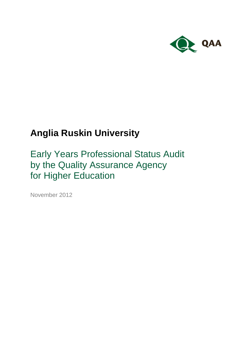

# **Anglia Ruskin University**

Early Years Professional Status Audit by the Quality Assurance Agency for Higher Education

November 2012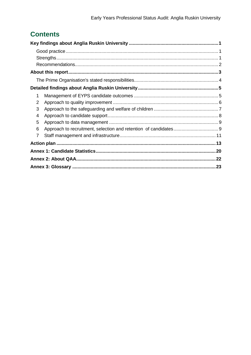## **Contents**

| 1 |  |
|---|--|
| 2 |  |
| 3 |  |
| 4 |  |
| 5 |  |
| 6 |  |
| 7 |  |
|   |  |
|   |  |
|   |  |
|   |  |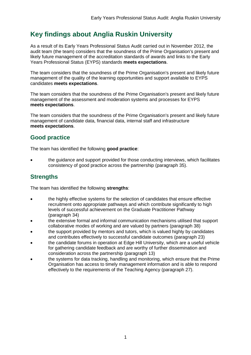## <span id="page-2-0"></span>**Key findings about Anglia Ruskin University**

As a result of its Early Years Professional Status Audit carried out in November 2012, the audit team (the team) considers that the soundness of the Prime Organisation's present and likely future management of the accreditation standards of awards and links to the Early Years Professional Status (EYPS) standards **meets expectations**.

The team considers that the soundness of the Prime Organisation's present and likely future management of the quality of the learning opportunities and support available to EYPS candidates **meets expectations**.

The team considers that the soundness of the Prime Organisation's present and likely future management of the assessment and moderation systems and processes for EYPS **meets expectations**.

The team considers that the soundness of the Prime Organisation's present and likely future management of candidate data, financial data, internal staff and infrastructure **meets expectations**.

#### <span id="page-2-1"></span>**Good practice**

The team has identified the following **good practice**:

 the guidance and support provided for those conducting interviews, which facilitates consistency of good practice across the partnership (paragraph 35).

#### <span id="page-2-2"></span>**Strengths**

The team has identified the following **strengths**:

- the highly effective systems for the selection of candidates that ensure effective recruitment onto appropriate pathways and which contribute significantly to high levels of successful achievement on the Graduate Practitioner Pathway (paragraph 34)
- the extensive formal and informal communication mechanisms utilised that support collaborative modes of working and are valued by partners (paragraph 38)
- the support provided by mentors and tutors, which is valued highly by candidates and contributes effectively to successful candidate outcomes (paragraph 23)
- the candidate forums in operation at Edge Hill University, which are a useful vehicle for gathering candidate feedback and are worthy of further dissemination and consideration across the partnership (paragraph 13)
- the systems for data tracking, handling and monitoring, which ensure that the Prime Organisation has access to timely management information and is able to respond effectively to the requirements of the Teaching Agency (paragraph 27).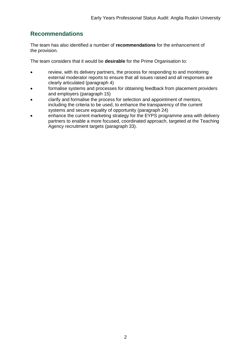#### <span id="page-3-0"></span>**Recommendations**

The team has also identified a number of **recommendations** for the enhancement of the provision.

The team considers that it would be **desirable** for the Prime Organisation to:

- review, with its delivery partners, the process for responding to and monitoring external moderator reports to ensure that all issues raised and all responses are clearly articulated (paragraph 4)
- formalise systems and processes for obtaining feedback from placement providers and employers (paragraph 15)
- clarify and formalise the process for selection and appointment of mentors, including the criteria to be used, to enhance the transparency of the current systems and secure equality of opportunity (paragraph 24)
- enhance the current marketing strategy for the EYPS programme area with delivery partners to enable a more focused, coordinated approach, targeted at the Teaching Agency recruitment targets (paragraph 33).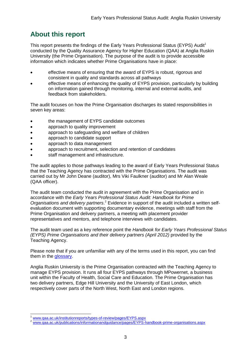## <span id="page-4-0"></span>**About this report**

This report presents the findings of the Early Years Professional Status (EYPS) Audit<sup>1</sup> conducted by the Quality Assurance Agency for Higher Education (QAA) at Anglia Ruskin University (the Prime Organisation). The purpose of the audit is to provide accessible information which indicates whether Prime Organisations have in place:

- effective means of ensuring that the award of EYPS is robust, rigorous and consistent in quality and standards across all pathways
- effective means of enhancing the quality of EYPS provision, particularly by building on information gained through monitoring, internal and external audits, and feedback from stakeholders.

The audit focuses on how the Prime Organisation discharges its stated responsibilities in seven key areas:

- the management of EYPS candidate outcomes
- approach to quality improvement
- approach to safeguarding and welfare of children
- approach to candidate support
- approach to data management
- approach to recruitment, selection and retention of candidates
- staff management and infrastructure.

The audit applies to those pathways leading to the award of Early Years Professional Status that the Teaching Agency has contracted with the Prime Organisations. The audit was carried out by Mr John Deane (auditor), Mrs Viki Faulkner (auditor) and Mr Alan Weale (QAA officer).

The audit team conducted the audit in agreement with the Prime Organisation and in accordance with the *Early Years Professional Status Audit: Handbook for Prime Organisations and delivery partners*. <sup>2</sup> Evidence in support of the audit included a written selfevaluation document with supporting documentary evidence, meetings with staff from the Prime Organisation and delivery partners, a meeting with placement provider representatives and mentors, and telephone interviews with candidates.

The audit team used as a key reference point the *Handbook for Early Years Professional Status (EYPS) Prime Organisations and their delivery partners (April 2012)* provided by the Teaching Agency.

Please note that if you are unfamiliar with any of the terms used in this report, you can find them in the [glossary.](#page-23-1)

Anglia Ruskin University is the Prime Organisation contracted with the Teaching Agency to manage EYPS provision. It runs all four EYPS pathways through MPowernet, a business unit within the Faculty of Health, Social Care and Education. The Prime Organisation has two delivery partners, Edge Hill University and the University of East London, which respectively cover parts of the North West, North East and London regions.

 $\overline{1}$ [www.qaa.ac.uk/institutionreports/types-of-review/pages/EYPS.aspx](http://www.qaa.ac.uk/InstitutionReports/types-of-review/Pages/EYPS.aspx)

<sup>2</sup> [www.qaa.ac.uk/publications/informationandguidance/pages/EYPS-handbook-prime-organisations.aspx](http://www.qaa.ac.uk/publications/informationandguidance/pages/EYPS-handbook-prime-organisations.aspx)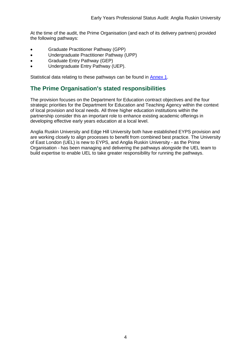At the time of the audit, the Prime Organisation (and each of its delivery partners) provided the following pathways:

- Graduate Practitioner Pathway (GPP)
- Undergraduate Practitioner Pathway (UPP)
- Graduate Entry Pathway (GEP)
- Undergraduate Entry Pathway (UEP).

Statistical data relating to these pathways can be found in [Annex 1.](#page-21-0)

#### <span id="page-5-0"></span>**The Prime Organisation's stated responsibilities**

The provision focuses on the Department for Education contract objectives and the four strategic priorities for the Department for Education and Teaching Agency within the context of local provision and local needs. All three higher education institutions within the partnership consider this an important role to enhance existing academic offerings in developing effective early years education at a local level.

Anglia Ruskin University and Edge Hill University both have established EYPS provision and are working closely to align processes to benefit from combined best practice. The University of East London (UEL) is new to EYPS, and Anglia Ruskin University - as the Prime Organisation - has been managing and delivering the pathways alongside the UEL team to build expertise to enable UEL to take greater responsibility for running the pathways.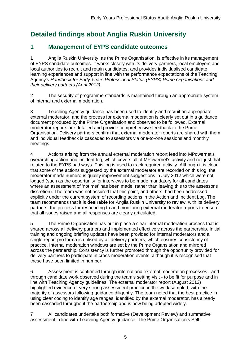## <span id="page-6-0"></span>**Detailed findings about Anglia Ruskin University**

#### <span id="page-6-1"></span>**1 Management of EYPS candidate outcomes**

1 Anglia Ruskin University, as the Prime Organisation, is effective in its management of EYPS candidate outcomes. It works closely with its delivery partners, local employers and local authorities to recruit and retain candidates, and provides individualised candidate learning experiences and support in line with the performance expectations of the Teaching Agency's *Handbook for Early Years Professional Status (EYPS) Prime Organisations and their delivery partners (April 2012)*.

2 The security of programme standards is maintained through an appropriate system of internal and external moderation.

3 Teaching Agency guidance has been used to identify and recruit an appropriate external moderator, and the process for external moderation is clearly set out in a guidance document produced by the Prime Organisation and observed to be followed. External moderator reports are detailed and provide comprehensive feedback to the Prime Organisation. Delivery partners confirm that external moderator reports are shared with them and individual feedback is cascaded to assessors via one-to-one sessions and monthly meetings.

4 Actions arising from the annual external moderation report feed into MPowernet's overarching action and incident log, which covers all of MPowernet's activity and not just that related to the EYPS pathways. This log is used to track required activity. Although it is clear that some of the actions suggested by the external moderator are recorded on this log, the moderator made numerous quality improvement suggestions in July 2012 which were not logged (such as the opportunity for interviews to be made mandatory for all candidates where an assessment of 'not met' has been made, rather than leaving this to the assessor's discretion). The team was not assured that this point, and others, had been addressed explicitly under the current system of recording actions in the Action and Incident Log. The team recommends that it is **desirable** for Anglia Ruskin University to review, with its delivery partners, the process for responding to and monitoring external moderator reports to ensure that all issues raised and all responses are clearly articulated.

5 The Prime Organisation has put in place a clear internal moderation process that is shared across all delivery partners and implemented effectively across the partnership. Initial training and ongoing briefing updates have been provided for internal moderators and a single report pro forma is utilised by all delivery partners, which ensures consistency of practice. Internal moderation windows are set by the Prime Organsiation and mirrored across the partnership. Consistency is further promoted through the opportunity provided for delivery partners to participate in cross-moderation events, although it is recognised that these have been limited in number.

6 Assessment is confirmed through internal and external moderation processes - and through candidate work observed during the team's setting visit - to be fit for purpose and in line with Teaching Agency guidelines. The external moderator report (August 2012) highlighted evidence of very strong assessment practice in the work sampled, with the majority of assessors following guidance diligently. The team noted that the best practice in using clear coding to identify age ranges, identified by the external moderator, has already been cascaded throughout the partnership and is now being adopted widely.

7 All candidates undertake both formative (Development Review) and summative assessment in line with Teaching Agency guidance. The Prime Organisation's Self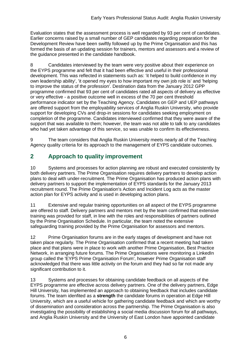Evaluation states that the assessment process is well regarded by 93 per cent of candidates. Earlier concerns raised by a small number of GEP candidates regarding preparation for the Development Review have been swiftly followed up by the Prime Organisation and this has formed the basis of an updating session for trainers, mentors and assessors and a review of the guidance presented in the candidate handbook.

8 Candidates interviewed by the team were very positive about their experience on the EYPS programme and felt that it had been effective and useful in their professional development. This was reflected in statements such as: 'it helped to build confidence in my own leadership ability', 'it opened my eyes to how important my own job role is' and 'helping to improve the status of the profession'. Destination data from the January 2012 GPP programme confirmed that 93 per cent of candidates rated all aspects of delivery as effective or very effective - a positive outcome well in excess of the 70 per cent threshold performance indicator set by the Teaching Agency. Candidates on GEP and UEP pathways are offered support from the employability services of Anglia Ruskin University, who provide support for developing CVs and drop-in sessions for candidates seeking employment on completion of the programme. Candidates interviewed confirmed that they were aware of the support that was available to them; however, the team was not able to talk to any candidates who had yet taken advantage of this service, so was unable to confirm its effectiveness.

9 The team considers that Anglia Ruskin University meets nearly all of the Teaching Agency quality criteria for its approach to the management of EYPS candidate outcomes.

#### <span id="page-7-0"></span>**2 Approach to quality improvement**

10 Systems and processes for action planning are robust and executed consistently by both delivery partners. The Prime Organisation requires delivery partners to develop action plans to deal with under-recruitment. The Prime Organisation has produced action plans with delivery partners to support the implementation of EYPS standards for the January 2013 recruitment round. The Prime Organisation's Action and Incident Log acts as the master action plan for EYPS activity and is used in developing action plans.

11 Extensive and regular training opportunities on all aspect of the EYPS programme are offered to staff. Delivery partners and mentors met by the team confirmed that extensive training was provided for staff, in line with the roles and responsibilities of partners outlined by the Prime Organisation Schedule. In particular, the team noted the extensive safeguarding training provided by the Prime Organisation for assessors and mentors.

12 Prime Organisation forums are in the early stages of development and have not taken place regularly. The Prime Organisation confirmed that a recent meeting had taken place and that plans were in place to work with another Prime Organisation, Best Practice Network, in arranging future forums. The Prime Organisations were monitoring a LinkedIn group called the 'EYPS Prime Organisation Forum', however Prime Organisation staff acknowledged that there was little activity on the forum and they had so far not made any significant contribution to it.

13 Systems and processes for obtaining candidate feedback on all aspects of the EYPS programme are effective across delivery partners. One of the delivery partners, Edge Hill University, has implemented an approach to obtaining feedback that includes candidate forums. The team idenfited as a **strength** the candidate forums in operation at Edge Hill University, which are a useful vehicle for gathering candidate feedback and which are worthy of dissemination and consideration across the partnership. The Prime Organisation is also investigating the possibility of establishing a social media discussion forum for all pathways, and Anglia Ruskin University and the University of East London have appointed candidate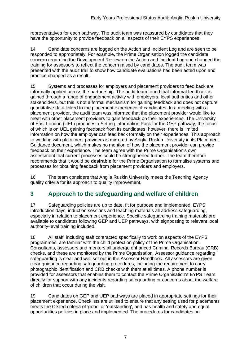representatives for each pathway. The audit team was reassured by candidates that they have the opportunity to provide feedback on all aspects of their EYPS experiences.

14 Candidate concerns are logged on the Action and Incident Log and are seen to be responded to appropriately. For example, the Prime Organisation logged the candidate concern regarding the Development Review on the Action and Incident Log and changed the training for assessors to reflect the concern raised by candidates. The audit team was presented with the audit trail to show how candidate evaluations had been acted upon and practice changed as a result.

15 Systems and processes for employers and placement providers to feed back are informally applied across the partnership. The audit team found that informal feedback is gained through a range of engagement activity with employers, local authorities and other stakeholders, but this is not a formal mechanism for gaining feedback and does not capture quantitative data linked to the placement experience of candidates. In a meeting with a placement provider, the audit team was informed that the placement provider would like to meet with other placement providers to gain feedback on their experiences. The University of East London (UEL) produces a Setting Information Pack for the GEP pathway, the focus of which is on UEL gaining feedback from its candidates; however, there is limited information on how the employer can feed back formally on their experiences. This approach to working with placement providers is mirrored by Anglia Ruskin University in its Placement Guidance document, which makes no mention of how the placement provider can provide feedback on their experience. The team agree with the Prime Organisation's own assessment that current processes could be strengthened further. The team therefore recommends that it would be **desirable** for the Prime Organisation to formalise systems and processes for obtaining feedback from placement providers and employers.

16 The team considers that Anglia Ruskin University meets the Teaching Agency quality criteria for its approach to quality improvement.

#### <span id="page-8-0"></span>**3 Approach to the safeguarding and welfare of children**

17 Safeguarding policies are up to date, fit for purpose and implemented. EYPS introduction days, induction sessions and teaching materials all address safeguarding, especially in relation to placement experience. Specific safeguarding training materials are available to candidates following GEP and UEP pathways, with signposting to relevant local authority-level training included.

18 All staff, including staff contracted specifically to work on aspects of the EYPS programmes, are familiar with the child protection policy of the Prime Organisation. Consultants, assessors and mentors all undergo enhanced Criminal Records Bureau (CRB) checks, and these are monitored by the Prime Organisation. Assessor guidance regarding safeguarding is clear and well set out in the Assessor Handbook. All assessors are given clear guidance regarding safeguarding procedures, including the requirement to carry photographic identification and CRB checks with them at all times. A phone number is provided for assessors that enables them to contact the Prime Organisation's EYPS Team directly for support with any incidents regarding safeguarding or concerns about the welfare of children that occur during the visit.

19 Candidates on GEP and UEP pathways are placed in appropriate settings for their placement experience. Checklists are utilised to ensure that any setting used for placements meets the Ofsted criteria of 'good' or 'outstanding', and has health and safety and equal opportunities policies in place and implemented. The procedures for candidates on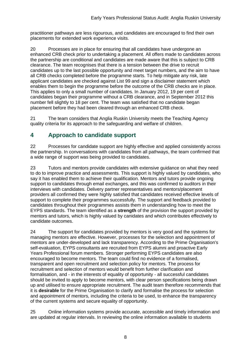practitioner pathways are less rigourous, and candidates are encouraged to find their own placements for extended work experience visits.

20 Processes are in place for ensuring that all candidates have undergone an enhanced CRB check prior to undertaking a placement. All offers made to candidates across the partnership are conditional and candidates are made aware that this is subject to CRB clearance. The team recognises that there is a tension between the drive to recruit candidates up to the last possible opportunity and meet target numbers, and the aim to have all CRB checks completed before the programme starts. To help mitigate any risk, late applicant candidates are checked against List 99 and sign a disclaimer statement which enables them to begin the programme before the outcome of the CRB checks are in place. This applies to only a small number of candidates. In January 2012, 19 per cent of candidates began their programme without a CRB clearance, and in September 2012 this number fell slightly to 18 per cent. The team was satisfied that no candidate began placement before they had been cleared through an enhanced CRB check.

21 The team considers that Anglia Ruskin University meets the Teaching Agency quality criteria for its approach to the safeguarding and welfare of children.

#### <span id="page-9-0"></span>**4 Approach to candidate support**

22 Processes for candidate support are highly effective and applied consistently across the partnership. In conversations with candidates from all pathways, the team confirmed that a wide range of support was being provided to candidates.

23 Tutors and mentors provide candidates with extensive guidance on what they need to do to improve practice and assessments. This support is highly valued by candidates, who say it has enabled them to achieve their qualification. Mentors and tutors provide ongoing support to candidates through email exchanges, and this was confirmed to auditors in their interviews with candidates. Delivery partner representatives and mentors/placement providers all confirmed they were highly satisfied that candidates received effective levels of support to complete their programmes successfully. The support and feedback provided to candidates throughout their programmes assists them in understanding how to meet the EYPS standards. The team identified as a **strength** of the provision the support provided by mentors and tutors, which is highly valued by canidates and which contributes effectively to candidate outcomes.

24 The support for candidates provided by mentors is very good and the systems for managing mentors are effective. However, processes for the selection and appointment of mentors are under-developed and lack transparency. According to the Prime Organisation's self-evaluation, EYPS consultants are recruited from EYPS alumni and proactive Early Years Professional forum members. Stronger performing EYPS candidates are also encouraged to become mentors. The team could find no evidence of a formalised, transparent and open recruitment and selection policy for mentors. The process for recruitment and selection of mentors would benefit from further clarification and formalisation, and - in the interests of equality of opportunity - all successful candidates should be invited to apply to become mentors, with clear person specifications being drawn up and utilised to ensure appropriate recruitment. The audit team therefore recommends that it is **desirable** for the Prime Organisation to clarify and formalise the process for selection and appointment of mentors, including the criteria to be used, to enhance the transparency of the current systems and secure equality of opportunity.

25 Online information systems provide accurate, accessible and timely information and are updated at regular intervals. In reviewing the online information available to students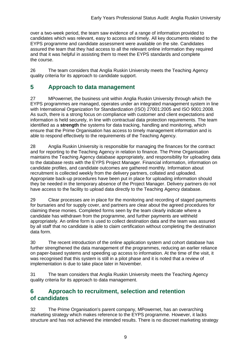over a two-week period, the team saw evidence of a range of information provided to candidates which was relevant, easy to access and timely. All key documents related to the EYPS programme and candidate assessment were available on the site. Candidates assured the team that they had access to all the relevant online information they required and that it was helpful in assisting them to meet the EYPS standards and complete the course.

26 The team considers that Anglia Ruskin University meets the Teaching Agency quality criteria for its approach to candidate support.

#### <span id="page-10-0"></span>**5 Approach to data management**

27 MPowernet, the business unit within Anglia Ruskin University through which the EYPS programmes are managed, operates under an integrated management system in line with International Organization for Standardization (ISO) 27001:2005 and ISO 9001:2008. As such, there is a strong focus on compliance with customer and client expectations and information is held securely, in line with contractual data protection requirements. The team identified as a **strength** the systems for data tracking, handling and monitoring, which ensure that the Prime Organisation has access to timely management information and is able to respond effectively to the requirements of the Teaching Agency.

28 Anglia Ruskin University is responsible for managing the finances for the contract and for reporting to the Teaching Agency in relation to finance. The Prime Organisation maintains the Teaching Agency database appropriately, and responsibility for uploading data to the database rests with the EYPS Project Manager. Financial information, information on candidate profiles, and candidate outcomes are gathered monthly. Information about recruitment is collected weekly from the delivery partners, collated and uploaded. Appropriate back-up procedures have been put in place for uploading information should they be needed in the temporary absence of the Project Manager. Delivery partners do not have access to the facility to upload data directly to the Teaching Agency database.

29 Clear processes are in place for the monitoring and recording of staged payments for bursaries and for supply cover, and partners are clear about the agreed procedures for claiming these monies. Completed forms seen by the team clearly indicate where a candidate has withdrawn from the programme, and further payments are withheld appropriately. An online form is used to collect destination data and the team was assured by all staff that no candidate is able to claim certification without completing the destination data form.

30 The recent introduction of the online application system and cohort database has further strengthened the data management of the programmes, reducing an earlier reliance on paper-based systems and speeding up access to information. At the time of the visit, it was recognised that this system is still in a pilot phase and it is noted that a review of implementation is due to take place later in November.

31 The team considers that Anglia Ruskin University meets the Teaching Agency quality criteria for its approach to data management.

#### <span id="page-10-1"></span>**6 Approach to recruitment, selection and retention of candidates**

32 The Prime Organisation's parent company, MPowernet, has an overarching marketing strategy which makes reference to the EYPS programme. However, it lacks structure and has not achieved the intended results. There is no discreet marketing strategy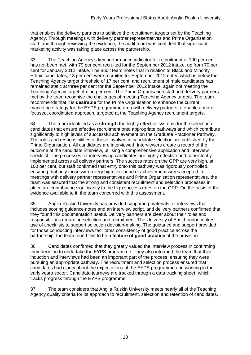that enables the delivery partners to achieve the recruitment targets set by the Teaching Agency. Through meetings with delivery partner representatives and Prime Organisation staff, and through reviewing the evidence, the audit team was confident that significant marketing activity was taking place across the partnership.

33 The Teaching Agency's key performance indicator for recruitment of 100 per cent has not been met, with 79 per cent recruited for the September 2012 intake, up from 70 per cent for January 2012 intake. The audit team notes that in relation to Black and Minority Ethnic candidates, 13 per cent were recruited for September 2012 entry, which is below the Teaching Agency target threshold of 17 per cent; and recruitment of male candidates has remained static at three per cent for the September 2012 intake, again not meeting the Teaching Agency target of nine per cent. The Prime Organisation staff and delivery partners met by the team recognise the challenges of meeting Teaching Agency targets. The team recommends that it is **desirable** for the Prime Organisation to enhance the current marketing strategy for the EYPS programme area with delivery partners to enable a more focused, coordinated approach, targeted at the Teaching Agency recruitment targets.

34 The team identified as a **strength** the highly effective systems for the selection of candidates that ensure effective recruitment onto appropriate pathways and which contribute significantly to high levels of successful achievement on the Graduate Practioner Pathway. The roles and responsibilities of those involved in candidate selection are published by the Prime Organisation. All candidates are interviewed. Interviewers create a record of the outcome of the candidate interview, utilising a comprehensive application and interview checklist. The processes for interviewing candidates are highly effective and consistently implemented across all delivery partners. The success rates on the GPP are very high, at 100 per cent, but staff confirmed that entry onto this pathway was rigorously controlled, ensuring that only those with a very high likelihood of achievement were accepted. In meetings with delivery partner representatives and Prime Organisation representatives, the team was assured that the strong and consistent recruitment and selection processes in place are contributing significantly to the high success rates on the GPP. On the basis of the evidence available to it, the team concurred with this assessment.

35 Anglia Ruskin University has provided supporting materials for interviews that includes scoring guidance notes and an interview script, and delivery partners confirmed that they found this documentation useful. Delivery partners are clear about their roles and responsibilities regarding selection and recruitment. The University of East London makes use of checklists to support selection decision-making. The guidance and support provided for those conducting interviews facilitates consistency of good practice across the partnership; the team found this to be a **feature of good practice** of the provision.

36 Candidates confirmed that they greatly valued the interview process in confirming their decision to undertake the EYPS programme. They also informed the team that their induction and interviews had been an important part of the process, ensuring they were pursuing an appropriate pathway. The recruitment and selection process ensured that candidates had clarity about the expectations of the EYPS programme and working in the early years sector. Candidate journeys are tracked through a data tracking sheet, which tracks progress through the EYPS programme.

37 The team considers that Anglia Ruskin University meets nearly all of the Teaching Agency quality criteria for its approach to recruitment, selection and retention of candidates.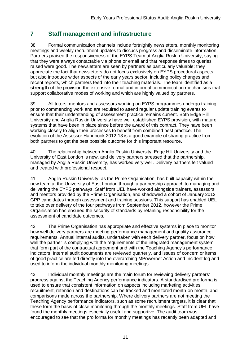#### <span id="page-12-0"></span>**7 Staff management and infrastructure**

38 Formal communication channels include fortnightly newsletters, monthly monitoring meetings and weekly recruitment updates to discuss progress and disseminate information. Partners praised the responsiveness of the EYPS Team at Anglia Ruskin University, saying that they were always contactable via phone or email and that response times to queries raised were good. The newsletters are seen by partners as particularly valuable; they appreciate the fact that newsletters do not focus exclusively on EYPS procedural aspects but also introduce wider aspects of the early years sector, including policy changes and recent reports, which partners feed into their teaching materials. The team identified as a **strength** of the provision the extensive formal and informal communication mechanisms that support collaborative modes of working and which are highly valued by partners.

39 All tutors, mentors and assessors working on EYPS programmes undergo training prior to commencing work and are required to attend regular update training events to ensure that their understanding of assessment practice remains current. Both Edge Hill University and Anglia Ruskin University have well established EYPS provision, with mature systems that have been in place since before the award of this contract. They have been working closely to align their processes to benefit from combined best practice. The evolution of the Assessor Handbook 2012-13 is a good example of sharing practice from both partners to get the best possible outcome for this important resource.

40 The relationship between Anglia Ruskin University, Edge Hill University and the University of East London is new, and delivery partners stressed that the partnership, managed by Anglia Ruskin University, has worked very well. Delivery partners felt valued and treated with professional respect.

41 Anglia Ruskin University, as the Prime Organisation, has built capacity within the new team at the University of East London through a partnership approach to managing and delivering the EYPS pathways. Staff from UEL have worked alongside trainers, assessors and mentors provided by the Prime Organisation, and shadowed a cohort of January 2012 GPP candidates through assessment and training sessions. This support has enabled UEL to take over delivery of the four pathways from September 2012, however the Prime Organisiation has ensured the security of standards by retaining responsibility for the assessment of candidate outcomes.

42 The Prime Organisation has appropriate and effective systems in place to monitor how well delivery partners are meeting performance management and quality assurance requirements. Annual internal audits, undertaken with each delivery partner, focus on how well the partner is complying with the requirements of the integrated management system that form part of the contractual agreement and with the Teaching Agency's performance indicators. Internal audit documents are reviewed quarterly, and issues of concern or items of good practice are fed directly into the overarching MPowernet Action and Incident log and used to inform the individual monthly monitoring meetings.

43 Individual monthly meetings are the main forum for reviewing delivery partners' progress against the Teaching Agency performance indicators. A standardised pro forma is used to ensure that consistent information on aspects including marketing activities, recruitment, retention and destinations can be tracked and monitored month-on-month, and comparisons made across the partnership. Where delivery partners are not meeting the Teaching Agency performance indicators, such as some recruitment targets, it is clear that these form the basis of close monitoring through the monthly meetings. Staff from UEL have found the monthly meetings especially useful and supportive. The audit team was encouraged to see that the pro forma for monthly meetings has recently been adapted and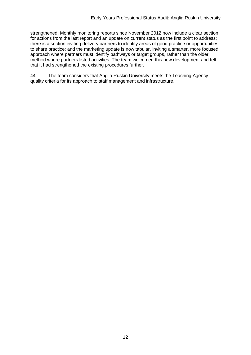strengthened. Monthly monitoring reports since November 2012 now include a clear section for actions from the last report and an update on current status as the first point to address; there is a section inviting delivery partners to identify areas of good practice or opportunities to share practice; and the marketing update is now tabular, inviting a smarter, more focused approach where partners must identify pathways or target groups, rather than the older method where partners listed activities. The team welcomed this new development and felt that it had strengthened the existing procedures further.

44 The team considers that Anglia Ruskin University meets the Teaching Agency quality criteria for its approach to staff management and infrastructure.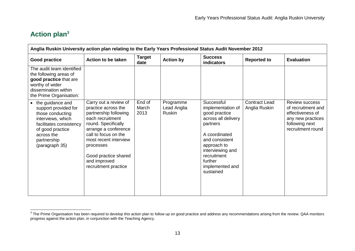## **Action plan<sup>3</sup>**

| Anglia Ruskin University action plan relating to the Early Years Professional Status Audit November 2012                                                                          |                                                                                                                                                                                                                                                                        |                         |                                           |                                                                                                                                                                                                                     |                                       |                                                                                                                             |  |  |  |
|-----------------------------------------------------------------------------------------------------------------------------------------------------------------------------------|------------------------------------------------------------------------------------------------------------------------------------------------------------------------------------------------------------------------------------------------------------------------|-------------------------|-------------------------------------------|---------------------------------------------------------------------------------------------------------------------------------------------------------------------------------------------------------------------|---------------------------------------|-----------------------------------------------------------------------------------------------------------------------------|--|--|--|
| <b>Good practice</b>                                                                                                                                                              | Action to be taken                                                                                                                                                                                                                                                     | <b>Target</b><br>date   | <b>Action by</b>                          | <b>Success</b><br><b>indicators</b>                                                                                                                                                                                 | <b>Reported to</b>                    | <b>Evaluation</b>                                                                                                           |  |  |  |
| The audit team identified<br>the following areas of<br>good practice that are<br>worthy of wider<br>dissemination within<br>the Prime Organisation:                               |                                                                                                                                                                                                                                                                        |                         |                                           |                                                                                                                                                                                                                     |                                       |                                                                                                                             |  |  |  |
| • the guidance and<br>support provided for<br>those conducting<br>interviews, which<br>facilitates consistency<br>of good practice<br>across the<br>partnership<br>(paragraph 35) | Carry out a review of<br>practice across the<br>partnership following<br>each recruitment<br>round. Specifically<br>arrange a conference<br>call to focus on the<br>most recent interview<br>processes<br>Good practice shared<br>and improved<br>recruitment practice | End of<br>March<br>2013 | Programme<br>Lead Anglia<br><b>Ruskin</b> | Successful<br>implementation of<br>good practice<br>across all delivery<br>partners<br>A coordinated<br>and consistent<br>approach to<br>interviewing and<br>recruitment<br>further<br>implemented and<br>sustained | <b>Contract Lead</b><br>Anglia Ruskin | <b>Review success</b><br>of recruitment and<br>effectiveness of<br>any new practices<br>following next<br>recruitment round |  |  |  |

<span id="page-14-0"></span>The Prime Organisation has been required to develop this action plan to follow up on good practice and address any recommendations arising from the review. QAA monitors progress against the action plan, in conjunction with the Teaching Agency.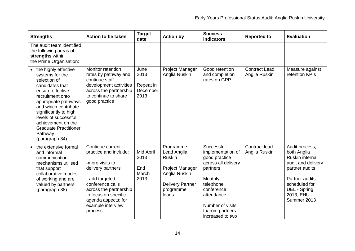| <b>Strengths</b>                                                                                                                                                                                                                                                                                         | Action to be taken                                                                                                                                                                                                               | <b>Target</b><br>date                         | <b>Action by</b>                                                                                                                      | <b>Success</b><br>indicators                                                                                                                                                                        | <b>Reported to</b>                    | <b>Evaluation</b>                                                                                                                                                                |
|----------------------------------------------------------------------------------------------------------------------------------------------------------------------------------------------------------------------------------------------------------------------------------------------------------|----------------------------------------------------------------------------------------------------------------------------------------------------------------------------------------------------------------------------------|-----------------------------------------------|---------------------------------------------------------------------------------------------------------------------------------------|-----------------------------------------------------------------------------------------------------------------------------------------------------------------------------------------------------|---------------------------------------|----------------------------------------------------------------------------------------------------------------------------------------------------------------------------------|
| The audit team identified<br>the following areas of<br>strengths within<br>the Prime Organisation:                                                                                                                                                                                                       |                                                                                                                                                                                                                                  |                                               |                                                                                                                                       |                                                                                                                                                                                                     |                                       |                                                                                                                                                                                  |
| • the highly effective<br>systems for the<br>selection of<br>candidates that<br>ensure effective<br>recruitment onto<br>appropriate pathways<br>and which contribute<br>significantly to high<br>levels of successful<br>achievement on the<br><b>Graduate Practitioner</b><br>Pathway<br>(paragraph 34) | Monitor retention<br>rates by pathway and<br>continue staff<br>development activities<br>across the partnership<br>to continue to share<br>good practice                                                                         | June<br>2013<br>Repeat in<br>December<br>2013 | Project Manager<br>Anglia Ruskin                                                                                                      | Good retention<br>and completion<br>rates on GPP                                                                                                                                                    | <b>Contract Lead</b><br>Anglia Ruskin | Measure against<br>retention KPIs                                                                                                                                                |
| the extensive formal<br>and informal<br>communication<br>mechanisms utilised<br>that support<br>collaborative modes<br>of working and are<br>valued by partners<br>(paragraph 38)                                                                                                                        | Continue current<br>practice and include:<br>-more visits to<br>delivery partners<br>- add targeted<br>conference calls<br>across the partnership<br>to focus on specific<br>agenda aspects; for<br>example interview<br>process | Mid April<br>2013<br>End<br>March<br>2013     | Programme<br>Lead Anglia<br><b>Ruskin</b><br><b>Project Manager</b><br>Anglia Ruskin<br><b>Delivery Partner</b><br>programme<br>leads | Successful<br>implementation of<br>good practice<br>across all delivery<br>partners<br>Monthly<br>telephone<br>conference<br>attendance<br>Number of visits<br>to/from partners<br>increased to two | Contract lead<br>Anglia Ruskin        | Audit process,<br>both Anglia<br>Ruskin internal<br>audit and delivery<br>partner audits<br>Partner audits<br>scheduled for<br><b>UEL - Spring</b><br>2013, EHU -<br>Summer 2013 |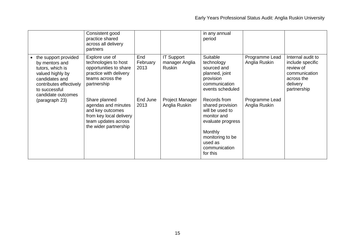|                                                                                                                                                                    | Consistent good<br>practice shared<br>across all delivery<br>partners                                                               |                         |                                                      | in any annual<br>period                                                                                                                                        |                                 |                                                                                                              |
|--------------------------------------------------------------------------------------------------------------------------------------------------------------------|-------------------------------------------------------------------------------------------------------------------------------------|-------------------------|------------------------------------------------------|----------------------------------------------------------------------------------------------------------------------------------------------------------------|---------------------------------|--------------------------------------------------------------------------------------------------------------|
| the support provided<br>by mentors and<br>tutors, which is<br>valued highly by<br>candidates and<br>contributes effectively<br>to successful<br>candidate outcomes | Explore use of<br>technologies to host<br>opportunities to share<br>practice with delivery<br>teams across the<br>partnership       | End<br>February<br>2013 | <b>IT Support</b><br>manager Anglia<br><b>Ruskin</b> | Suitable<br>technology<br>sourced and<br>planned, joint<br>provision<br>communication<br>events scheduled                                                      | Programme Lead<br>Anglia Ruskin | Internal audit to<br>include specific<br>review of<br>communication<br>across the<br>delivery<br>partnership |
| (paragraph 23)                                                                                                                                                     | Share planned<br>agendas and minutes<br>and key outcomes<br>from key local delivery<br>team updates across<br>the wider partnership | End June<br>2013        | Project Manager<br>Anglia Ruskin                     | Records from<br>shared provision<br>will be used to<br>monitor and<br>evaluate progress<br>Monthly<br>monitoring to be<br>used as<br>communication<br>for this | Programme Lead<br>Anglia Ruskin |                                                                                                              |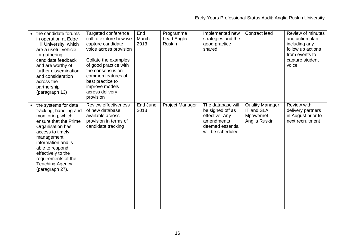| the candidate forums<br>in operation at Edge<br>Hill University, which<br>are a useful vehicle<br>for gathering<br>candidate feedback<br>and are worthy of<br>further dissemination<br>and consideration<br>across the<br>partnership<br>(paragraph 13)                                 | Targeted conference<br>call to explore how we<br>capture candidate<br>voice across provision<br>Collate the examples<br>of good practice with<br>the consensus on<br>common features of<br>best practice to<br>improve models<br>across delivery<br>provision | End<br>March<br>2013 | Programme<br>Lead Anglia<br><b>Ruskin</b> | Implemented new<br>strategies and the<br>good practice<br>shared                                                | Contract lead                                                        | Review of minutes<br>and action plan,<br>including any<br>follow up actions<br>from events to<br>capture student<br>voice |
|-----------------------------------------------------------------------------------------------------------------------------------------------------------------------------------------------------------------------------------------------------------------------------------------|---------------------------------------------------------------------------------------------------------------------------------------------------------------------------------------------------------------------------------------------------------------|----------------------|-------------------------------------------|-----------------------------------------------------------------------------------------------------------------|----------------------------------------------------------------------|---------------------------------------------------------------------------------------------------------------------------|
| • the systems for data<br>tracking, handling and<br>monitoring, which<br>ensure that the Prime<br>Organisation has<br>access to timely<br>management<br>information and is<br>able to respond<br>effectively to the<br>requirements of the<br><b>Teaching Agency</b><br>(paragraph 27). | Review effectiveness<br>of new database<br>available across<br>provision in terms of<br>candidate tracking                                                                                                                                                    | End June<br>2013     | Project Manager                           | The database will<br>be signed off as<br>effective. Any<br>amendments<br>deemed essential<br>will be scheduled. | <b>Quality Manager</b><br>IT and SLA,<br>Mpowernet,<br>Anglia Ruskin | Review with<br>delivery partners<br>in August prior to<br>next recruitment                                                |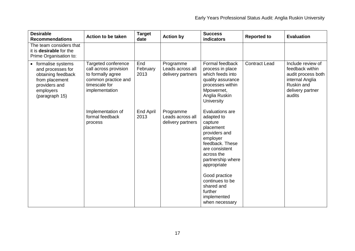| <b>Desirable</b><br><b>Recommendations</b>                                                                                     | <b>Action to be taken</b>                                                                                                   | <b>Target</b><br>date   | <b>Action by</b>                                   | <b>Success</b><br>indicators                                                                                                                                                                                                                                            | <b>Reported to</b>   | <b>Evaluation</b>                                                                                                         |
|--------------------------------------------------------------------------------------------------------------------------------|-----------------------------------------------------------------------------------------------------------------------------|-------------------------|----------------------------------------------------|-------------------------------------------------------------------------------------------------------------------------------------------------------------------------------------------------------------------------------------------------------------------------|----------------------|---------------------------------------------------------------------------------------------------------------------------|
| The team considers that<br>it is <b>desirable</b> for the<br>Prime Organisation to:                                            |                                                                                                                             |                         |                                                    |                                                                                                                                                                                                                                                                         |                      |                                                                                                                           |
| formalise systems<br>and processes for<br>obtaining feedback<br>from placement<br>providers and<br>employers<br>(paragraph 15) | Targeted conference<br>call across provision<br>to formally agree<br>common practice and<br>timescale for<br>implementation | End<br>February<br>2013 | Programme<br>Leads across all<br>delivery partners | Formal feedback<br>process in place<br>which feeds into<br>quality assurance<br>processes within<br>Mpowernet,<br>Anglia Ruskin<br>University                                                                                                                           | <b>Contract Lead</b> | Include review of<br>feedback within<br>audit process both<br>internal Anglia<br>Ruskin and<br>delivery partner<br>audits |
|                                                                                                                                | Implementation of<br>formal feedback<br>process                                                                             | End April<br>2013       | Programme<br>Leads across all<br>delivery partners | Evaluations are<br>adapted to<br>capture<br>placement<br>providers and<br>employer<br>feedback. These<br>are consistent<br>across the<br>partnership where<br>appropriate<br>Good practice<br>continues to be<br>shared and<br>further<br>implemented<br>when necessary |                      |                                                                                                                           |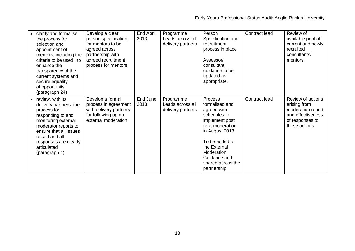| clarify and formalise<br>the process for<br>selection and<br>appointment of<br>mentors, including the<br>criteria to be used, to<br>enhance the<br>transparency of the<br>current systems and<br>secure equality<br>of opportunity<br>(paragraph 24) | Develop a clear<br>person specification<br>for mentors to be<br>agreed across<br>partnership with<br>agreed recruitment<br>process for mentors | End April<br>2013 | Programme<br>Leads across all<br>delivery partners | Person<br>Specification and<br>recruitment<br>process in place<br>Assessor/<br>consultant<br>guidance to be<br>updated as<br>appropriate.                                                                           | Contract lead | Review of<br>available pool of<br>current and newly<br>recruited<br>consultants/<br>mentors.                    |
|------------------------------------------------------------------------------------------------------------------------------------------------------------------------------------------------------------------------------------------------------|------------------------------------------------------------------------------------------------------------------------------------------------|-------------------|----------------------------------------------------|---------------------------------------------------------------------------------------------------------------------------------------------------------------------------------------------------------------------|---------------|-----------------------------------------------------------------------------------------------------------------|
| review, with its<br>$\bullet$<br>delivery partners, the<br>process for<br>responding to and<br>monitoring external<br>moderator reports to<br>ensure that all issues<br>raised and all<br>responses are clearly<br>articulated<br>(paragraph 4)      | Develop a formal<br>process in agreement<br>with delivery partners<br>for following up on<br>external moderation                               | End June<br>2013  | Programme<br>Leads across all<br>delivery partners | Process<br>formalised and<br>agreed with<br>schedules to<br>implement post<br>next moderation<br>in August 2013<br>To be added to<br>the External<br>Moderation<br>Guidance and<br>shared across the<br>partnership | Contract lead | Review of actions<br>arising from<br>moderation report<br>and effectiveness<br>of responses to<br>these actions |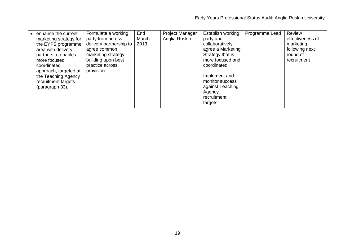| Formulate a working<br>enhance the current<br>party from across<br>marketing strategy for<br>delivery partnership to<br>the EYPS programme<br>area with delivery<br>agree common<br>marketing strategy<br>partners to enable a<br>building upon best<br>more focused,<br>practice across<br>coordinated<br>provision<br>approach, targeted at<br>the Teaching Agency<br>recruitment targets<br>(paragraph 33). | End<br>March<br>2013 | Project Manager<br>Anglia Ruskin | Establish working<br>party and<br>collaboratively<br>agree a Marketing<br>Strategy that is<br>more focused and<br>coordinated<br>Implement and<br>monitor success<br>against Teaching<br>Agency<br>recruitment<br>targets | Programme Lead | Review<br>effectiveness of<br>marketing<br>following next<br>round of<br>recruitment |
|----------------------------------------------------------------------------------------------------------------------------------------------------------------------------------------------------------------------------------------------------------------------------------------------------------------------------------------------------------------------------------------------------------------|----------------------|----------------------------------|---------------------------------------------------------------------------------------------------------------------------------------------------------------------------------------------------------------------------|----------------|--------------------------------------------------------------------------------------|
|----------------------------------------------------------------------------------------------------------------------------------------------------------------------------------------------------------------------------------------------------------------------------------------------------------------------------------------------------------------------------------------------------------------|----------------------|----------------------------------|---------------------------------------------------------------------------------------------------------------------------------------------------------------------------------------------------------------------------|----------------|--------------------------------------------------------------------------------------|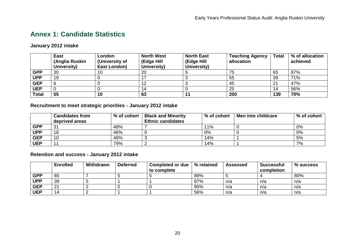## **Annex 1: Candidate Statistics**

#### **January 2012 intake**

|              | <b>East</b><br>(Anglia Ruskin<br>University) | London<br>(University of<br>East London) | <b>North West</b><br>(Edge Hill<br>University) | <b>North East</b><br>(Edge Hill<br>University) | <b>Teaching Agency</b><br>allocation | <b>Total</b> | % of allocation<br>achieved |
|--------------|----------------------------------------------|------------------------------------------|------------------------------------------------|------------------------------------------------|--------------------------------------|--------------|-----------------------------|
| <b>GPP</b>   | 30                                           | 10                                       | 20                                             |                                                | 75                                   | 65           | 87%                         |
| <b>UPP</b>   | 19                                           |                                          |                                                |                                                | 55                                   | 39           | 71%                         |
| <b>GEP</b>   |                                              |                                          | 12                                             |                                                | 45                                   | 21           | 47%                         |
| <b>UEP</b>   |                                              |                                          |                                                |                                                | 25                                   | 14           | 56%                         |
| <b>Total</b> | 55                                           | 10                                       | 63                                             |                                                | 200                                  | 139          | 70%                         |

#### **Recruitment to meet strategic priorities - January 2012 intake**

|            | <b>Candidates from</b><br>deprived areas | % of cohort | <b>Black and Minority</b><br><b>Ethnic candidates</b> | % of cohort | Men into childcare | $%$ of cohort |
|------------|------------------------------------------|-------------|-------------------------------------------------------|-------------|--------------------|---------------|
| <b>GPP</b> | 31                                       | 48%         |                                                       | 11%         |                    | 0%            |
| <b>UPP</b> | 18                                       | 46%         |                                                       | 0%          |                    | 0%            |
| <b>GEP</b> | 10                                       | 48%         |                                                       | 14%         |                    | 5%            |
| <b>UEP</b> | $\ddot{\phantom{1}}$                     | 79%         |                                                       | 14%         |                    | 7%            |

<span id="page-21-0"></span>**Retention and success - January 2012 intake**

|            | <b>Enrolled</b> | Withdrawn | <b>Deferred</b> | <b>Completed or due</b><br>to complete | % retained | <b>Assessed</b> | <b>Successful</b><br>completion | % success |
|------------|-----------------|-----------|-----------------|----------------------------------------|------------|-----------------|---------------------------------|-----------|
| <b>GPP</b> | 65              |           |                 |                                        | 89%        |                 |                                 | 80%       |
| <b>UPP</b> | 39              |           |                 |                                        | 87%        | n/a             | n/a                             | n/a       |
| <b>GEP</b> | 21              |           |                 |                                        | 90%        | n/a             | n/a                             | n/a       |
| <b>UEP</b> | 14              |           |                 |                                        | 56%        | n/a             | n/a                             | n/a       |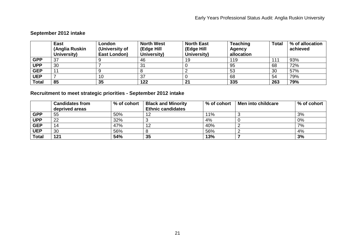#### **September 2012 intake**

|              | <b>East</b><br>(Anglia Ruskin<br>University) | London<br>(University of<br>East London) | <b>North West</b><br>(Edge Hill<br>University) | <b>North East</b><br>(Edge Hill<br>University) | <b>Teaching</b><br><b>Agency</b><br>allocation | <b>Total</b> | % of allocation<br>achieved |
|--------------|----------------------------------------------|------------------------------------------|------------------------------------------------|------------------------------------------------|------------------------------------------------|--------------|-----------------------------|
| <b>GPP</b>   | 37                                           |                                          | 46                                             | 19                                             | 119                                            | 111          | 93%                         |
| <b>UPP</b>   | 30                                           |                                          | 31                                             |                                                | 95                                             | 68           | 72%                         |
| <b>GEP</b>   | 11                                           |                                          |                                                |                                                | 53                                             | 30           | 57%                         |
| <b>UEP</b>   |                                              | 10                                       | 37                                             |                                                | 68                                             | 54           | 79%                         |
| <b>Total</b> | 85                                           | 35                                       | 122                                            | 21                                             | 335                                            | 263          | 79%                         |

### **Recruitment to meet strategic priorities - September 2012 intake**

|              | <b>Candidates from</b> | % of cohort | <b>Black and Minority</b> | % of cohort | Men into childcare | % of cohort |
|--------------|------------------------|-------------|---------------------------|-------------|--------------------|-------------|
|              | deprived areas         |             | <b>Ethnic candidates</b>  |             |                    |             |
| <b>GPP</b>   | 55                     | 50%         | ՟                         | 11%         | ັ                  | 3%          |
| <b>UPP</b>   | 22                     | 32%         |                           | 4%          |                    | 0%          |
| <b>GEP</b>   | 14                     | 47%         |                           | 40%         |                    | 7%          |
| <b>UEP</b>   | 30                     | 56%         |                           | 56%         |                    | 4%          |
| <b>Total</b> | 121                    | 54%         | 35                        | 13%         |                    | 3%          |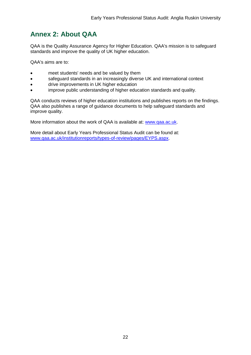## <span id="page-23-0"></span>**Annex 2: About QAA**

QAA is the Quality Assurance Agency for Higher Education. QAA's mission is to safeguard standards and improve the quality of UK higher education.

QAA's aims are to:

- meet students' needs and be valued by them
- safeguard standards in an increasingly diverse UK and international context
- drive improvements in UK higher education
- improve public understanding of higher education standards and quality.

QAA conducts reviews of higher education institutions and publishes reports on the findings. QAA also publishes a range of guidance documents to help safeguard standards and improve quality.

More information about the work of QAA is available at: [www.qaa.ac.uk.](http://www.qaa.ac.uk/)

<span id="page-23-1"></span>More detail about Early Years Professional Status Audit can be found at: [www.qaa.ac.uk/institutionreports/types-of-review/pages/EYPS.aspx.](http://www.qaa.ac.uk/InstitutionReports/types-of-review/Pages/EYPS.aspx)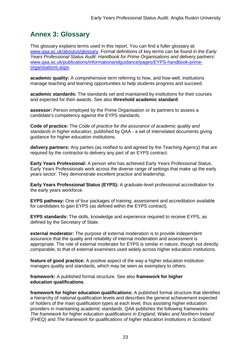## <span id="page-24-0"></span>**Annex 3: Glossary**

This glossary explains terms used in this report. You can find a fuller glossary at: [www.qaa.ac.uk/aboutus/glossary.](http://www.qaa.ac.uk/aboutus/glossary) Formal definitions of key terms can be found in the *Early Years Professional Status Audit*: *Handbook for Prime Organisations and delivery partners*: [www.qaa.ac.uk/publications/informationandguidance/pages/EYPS-handbook-prime](http://www.qaa.ac.uk/publications/informationandguidance/pages/EYPS-handbook-prime-organisations.aspx)[organisations.aspx.](http://www.qaa.ac.uk/publications/informationandguidance/pages/EYPS-handbook-prime-organisations.aspx)

**academic quality:** A comprehensive term referring to how, and how well, institutions manage teaching and learning opportunities to help students progress and succeed.

**academic standards:** The standards set and maintained by institutions for their courses and expected for their awards. See also **threshold academic standard**.

**assessor:** Person employed by the Prime Organisation or its partners to assess a candidate's competency against the EYPS standards.

**Code of practice:** The *Code of practice for the assurance of academic quality and standards in higher education*, published by QAA - a set of interrelated documents giving guidance for higher education institutions.

**delivery partners:** Any parties (as notified to and agreed by the Teaching Agency) that are required by the contractor to delivery any part of an EYPS contract.

**Early Years Professional:** A person who has achieved Early Years Professional Status. Early Years Professionals work across the diverse range of settings that make up the early years sector. They demonstrate excellent practice and leadership.

**Early Years Professional Status (EYPS):** A graduate-level professional accreditation for the early years workforce.

**EYPS pathway:** One of four packages of training, assessment and accreditation available for candidates to gain EYPS (as defined within the EYPS contract).

**EYPS standards:** The skills, knowledge and experience required to receive EYPS, as defined by the Secretary of State.

**external moderator:** The purpose of external moderation is to provide independent assurance that the quality and reliability of internal moderation and assessment is appropriate. The role of external moderator for EYPS is similar in nature, though not directly comparable, to that of external examiners used widely across higher education institutions.

**feature of good practice:** A positive aspect of the way a higher education institution manages quality and standards, which may be seen as exemplary to others.

**framework:** A published formal structure. See also **framework for higher education qualifications**.

**framework for higher education qualifications:** A published formal structure that identifies a hierarchy of national qualification levels and describes the general achievement expected of holders of the main qualification types at each level, thus assisting higher education providers in maintaining academic standards. QAA publishes the following frameworks: *The framework for higher education qualifications in England, Wales and Northern Ireland* (FHEQ) and *The framework for qualifications of higher education institutions in Scotland*.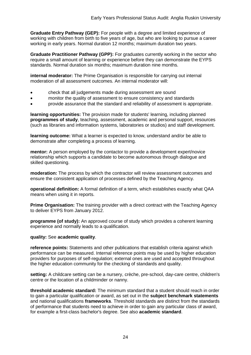**Graduate Entry Pathway (GEP):** For people with a degree and limited experience of working with children from birth to five years of age, but who are looking to pursue a career working in early years. Normal duration 12 months; maximum duration two years.

**Graduate Practitioner Pathway (GPP):** For graduates currently working in the sector who require a small amount of learning or experience before they can demonstrate the EYPS standards. Normal duration six months; maximum duration nine months.

**internal moderator:** The Prime Organisation is responsible for carrying out internal moderation of all assessment outcomes. An internal moderator will:

- check that all judgements made during assessment are sound
- monitor the quality of assessment to ensure consistency and standards
- provide assurance that the standard and reliability of assessment is appropriate.

**learning opportunities:** The provision made for students' learning, including planned **[programmes of study](http://newlive.qaa.ac.uk/aboutus/glossary/pages/glossary-p.aspx#p12)**, teaching, assessment, academic and personal support, resources (such as libraries and information systems, laboratories or studios) and staff development.

**learning outcome:** What a learner is expected to know, understand and/or be able to demonstrate after completing a process of learning.

**mentor:** A person employed by the contactor to provide a development expert/novice relationship which supports a candidate to become autonomous through dialogue and skilled questioning.

**moderation:** The process by which the contractor will review assessment outcomes and ensure the consistent application of processes defined by the Teaching Agency.

**operational definition:** A formal definition of a term, which establishes exactly what QAA means when using it in reports.

**Prime Organisation:** The training provider with a direct contract with the Teaching Agency to deliver EYPS from January 2012.

**programme (of study):** An approved course of study which provides a coherent learning experience and normally leads to a qualification.

**quality:** See **academic quality**.

**reference points:** Statements and other publications that establish criteria against which performance can be measured. Internal reference points may be used by higher education providers for purposes of self-regulation; external ones are used and accepted throughout the higher education community for the checking of standards and quality.

**setting:** A childcare setting can be a nursery, crèche, pre-school, day-care centre, children's centre or the location of a childminder or nanny.

**threshold academic standard:** The minimum standard that a student should reach in order to gain a particular qualification or award, as set out in the **[subject benchmark statements](http://newlive.qaa.ac.uk/aboutus/glossary/pages/glossary-s.aspx#s7)** and national [qualifications](http://newlive.qaa.ac.uk/aboutus/glossary/pages/glossary-q.aspx#q3) **frameworks**. Threshold standards are distinct from the standards of performance that students need to achieve in order to gain any particular class of award, for example a first-class bachelor's degree. See also **[academic standard](http://newlive.qaa.ac.uk/aboutus/glossary/pages/glossary-a.aspx#a3)**.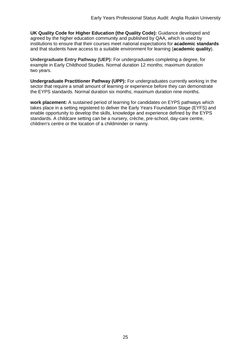**UK Quality Code for Higher Education (the Quality Code):** Guidance developed and agreed by the higher education community and published by QAA, which is used by institutions to ensure that their courses meet national expectations for **academic standards** and that students have access to a suitable environment for learning (**academic quality**).

**Undergraduate Entry Pathway (UEP):** For undergraduates completing a degree, for example in Early Childhood Studies. Normal duration 12 months; maximum duration two years.

**Undergraduate Practitioner Pathway (UPP):** For undergraduates currently working in the sector that require a small amount of learning or experience before they can demonstrate the EYPS standards. Normal duration six months; maximum duration nine months.

**work placement:** A sustained period of learning for candidates on EYPS pathways which takes place in a setting registered to deliver the Early Years Foundation Stage (EYFS) and enable opportunity to develop the skills, knowledge and experience defined by the EYPS standards. A childcare setting can be a nursery, crèche, pre-school, day-care centre, children's centre or the location of a childminder or nanny.